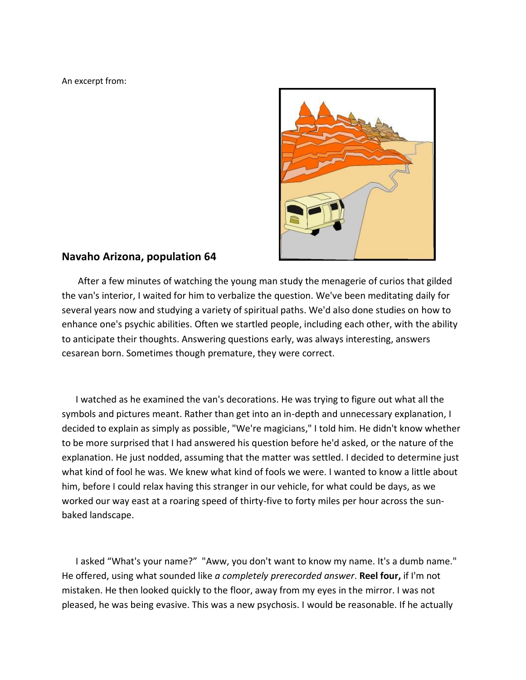An excerpt from:



## **Navaho Arizona, population 64**

 After a few minutes of watching the young man study the menagerie of curios that gilded the van's interior, I waited for him to verbalize the question. We've been meditating daily for several years now and studying a variety of spiritual paths. We'd also done studies on how to enhance one's psychic abilities. Often we startled people, including each other, with the ability to anticipate their thoughts. Answering questions early, was always interesting, answers cesarean born. Sometimes though premature, they were correct.

 I watched as he examined the van's decorations. He was trying to figure out what all the symbols and pictures meant. Rather than get into an in-depth and unnecessary explanation, I decided to explain as simply as possible, "We're magicians," I told him. He didn't know whether to be more surprised that I had answered his question before he'd asked, or the nature of the explanation. He just nodded, assuming that the matter was settled. I decided to determine just what kind of fool he was. We knew what kind of fools we were. I wanted to know a little about him, before I could relax having this stranger in our vehicle, for what could be days, as we worked our way east at a roaring speed of thirty-five to forty miles per hour across the sunbaked landscape.

 I asked "What's your name?" "Aww, you don't want to know my name. It's a dumb name." He offered, using what sounded like *a completely prerecorded answer*. **Reel four,** if I'm not mistaken. He then looked quickly to the floor, away from my eyes in the mirror. I was not pleased, he was being evasive. This was a new psychosis. I would be reasonable. If he actually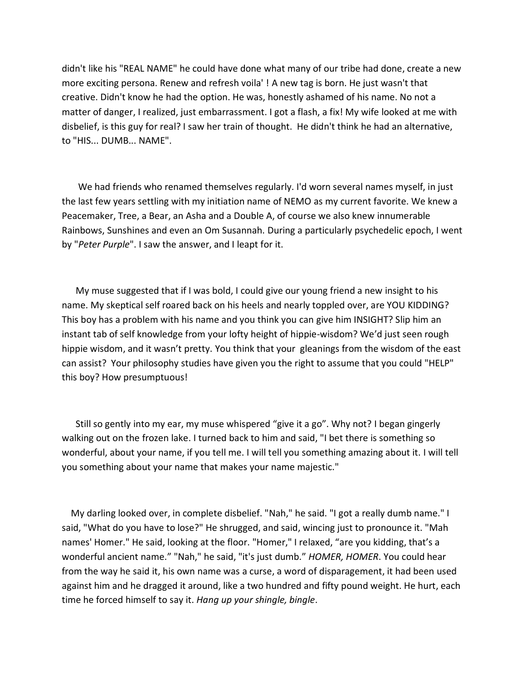didn't like his "REAL NAME" he could have done what many of our tribe had done, create a new more exciting persona. Renew and refresh voila' ! A new tag is born. He just wasn't that creative. Didn't know he had the option. He was, honestly ashamed of his name. No not a matter of danger, I realized, just embarrassment. I got a flash, a fix! My wife looked at me with disbelief, is this guy for real? I saw her train of thought. He didn't think he had an alternative, to "HIS... DUMB... NAME".

 We had friends who renamed themselves regularly. I'd worn several names myself, in just the last few years settling with my initiation name of NEMO as my current favorite. We knew a Peacemaker, Tree, a Bear, an Asha and a Double A, of course we also knew innumerable Rainbows, Sunshines and even an Om Susannah. During a particularly psychedelic epoch, I went by "*Peter Purple*". I saw the answer, and I leapt for it.

 My muse suggested that if I was bold, I could give our young friend a new insight to his name. My skeptical self roared back on his heels and nearly toppled over, are YOU KIDDING? This boy has a problem with his name and you think you can give him INSIGHT? Slip him an instant tab of self knowledge from your lofty height of hippie-wisdom? We'd just seen rough hippie wisdom, and it wasn't pretty. You think that your gleanings from the wisdom of the east can assist? Your philosophy studies have given you the right to assume that you could "HELP" this boy? How presumptuous!

 Still so gently into my ear, my muse whispered "give it a go". Why not? I began gingerly walking out on the frozen lake. I turned back to him and said, "I bet there is something so wonderful, about your name, if you tell me. I will tell you something amazing about it. I will tell you something about your name that makes your name majestic."

 My darling looked over, in complete disbelief. "Nah," he said. "I got a really dumb name." I said, "What do you have to lose?" He shrugged, and said, wincing just to pronounce it. "Mah names' Homer." He said, looking at the floor. "Homer," I relaxed, "are you kidding, that's a wonderful ancient name." "Nah," he said, "it's just dumb." *HOMER, HOMER*. You could hear from the way he said it, his own name was a curse, a word of disparagement, it had been used against him and he dragged it around, like a two hundred and fifty pound weight. He hurt, each time he forced himself to say it. *Hang up your shingle, bingle*.